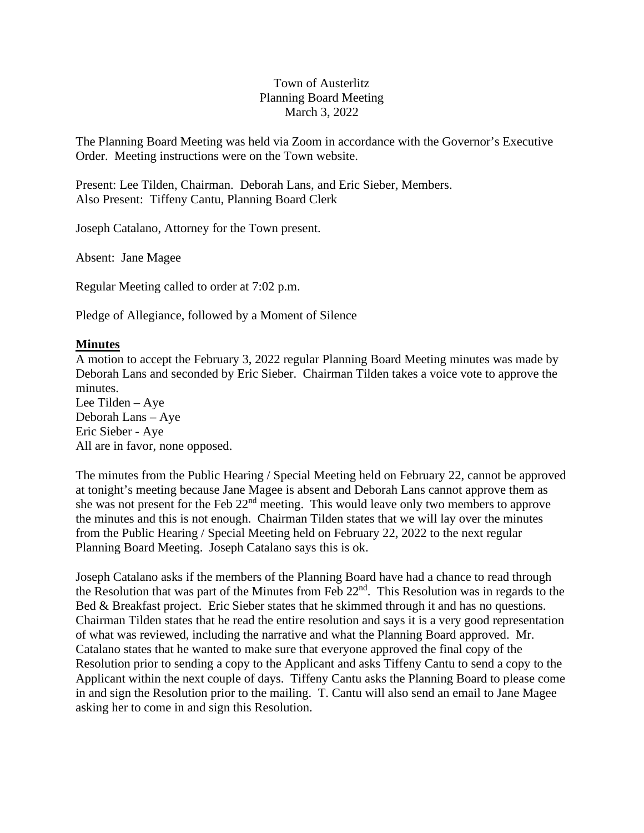# Town of Austerlitz Planning Board Meeting March 3, 2022

The Planning Board Meeting was held via Zoom in accordance with the Governor's Executive Order. Meeting instructions were on the Town website.

Present: Lee Tilden, Chairman. Deborah Lans, and Eric Sieber, Members. Also Present: Tiffeny Cantu, Planning Board Clerk

Joseph Catalano, Attorney for the Town present.

Absent: Jane Magee

Regular Meeting called to order at 7:02 p.m.

Pledge of Allegiance, followed by a Moment of Silence

# **Minutes**

A motion to accept the February 3, 2022 regular Planning Board Meeting minutes was made by Deborah Lans and seconded by Eric Sieber. Chairman Tilden takes a voice vote to approve the minutes.

Lee Tilden – Aye Deborah Lans – Aye Eric Sieber - Aye All are in favor, none opposed.

The minutes from the Public Hearing / Special Meeting held on February 22, cannot be approved at tonight's meeting because Jane Magee is absent and Deborah Lans cannot approve them as she was not present for the Feb 22nd meeting. This would leave only two members to approve the minutes and this is not enough. Chairman Tilden states that we will lay over the minutes from the Public Hearing / Special Meeting held on February 22, 2022 to the next regular Planning Board Meeting. Joseph Catalano says this is ok.

Joseph Catalano asks if the members of the Planning Board have had a chance to read through the Resolution that was part of the Minutes from Feb 22nd. This Resolution was in regards to the Bed & Breakfast project. Eric Sieber states that he skimmed through it and has no questions. Chairman Tilden states that he read the entire resolution and says it is a very good representation of what was reviewed, including the narrative and what the Planning Board approved. Mr. Catalano states that he wanted to make sure that everyone approved the final copy of the Resolution prior to sending a copy to the Applicant and asks Tiffeny Cantu to send a copy to the Applicant within the next couple of days. Tiffeny Cantu asks the Planning Board to please come in and sign the Resolution prior to the mailing. T. Cantu will also send an email to Jane Magee asking her to come in and sign this Resolution.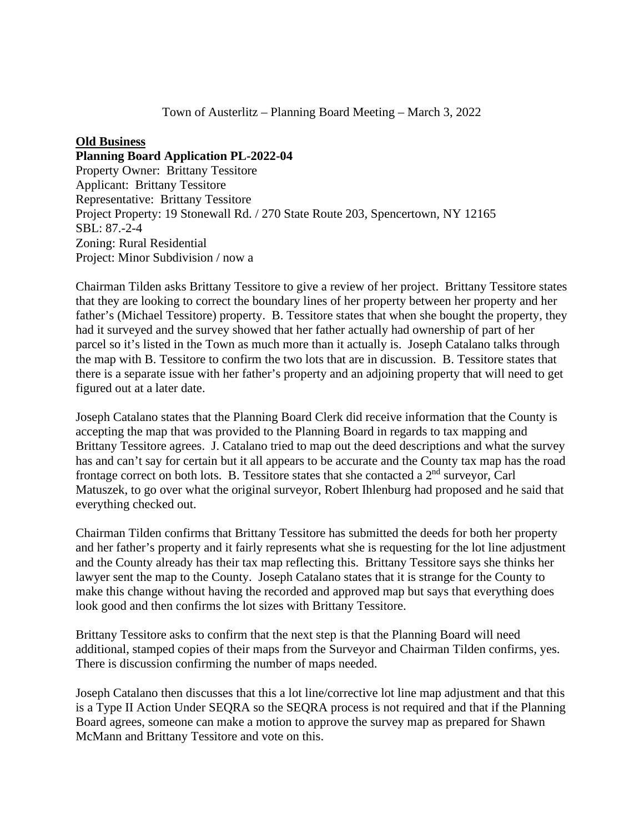### **Old Business**

#### **Planning Board Application PL-2022-04**

Property Owner: Brittany Tessitore Applicant: Brittany Tessitore Representative: Brittany Tessitore Project Property: 19 Stonewall Rd. / 270 State Route 203, Spencertown, NY 12165 SBL: 87.-2-4 Zoning: Rural Residential Project: Minor Subdivision / now a

Chairman Tilden asks Brittany Tessitore to give a review of her project. Brittany Tessitore states that they are looking to correct the boundary lines of her property between her property and her father's (Michael Tessitore) property. B. Tessitore states that when she bought the property, they had it surveyed and the survey showed that her father actually had ownership of part of her parcel so it's listed in the Town as much more than it actually is. Joseph Catalano talks through the map with B. Tessitore to confirm the two lots that are in discussion. B. Tessitore states that there is a separate issue with her father's property and an adjoining property that will need to get figured out at a later date.

Joseph Catalano states that the Planning Board Clerk did receive information that the County is accepting the map that was provided to the Planning Board in regards to tax mapping and Brittany Tessitore agrees. J. Catalano tried to map out the deed descriptions and what the survey has and can't say for certain but it all appears to be accurate and the County tax map has the road frontage correct on both lots. B. Tessitore states that she contacted a 2nd surveyor, Carl Matuszek, to go over what the original surveyor, Robert Ihlenburg had proposed and he said that everything checked out.

Chairman Tilden confirms that Brittany Tessitore has submitted the deeds for both her property and her father's property and it fairly represents what she is requesting for the lot line adjustment and the County already has their tax map reflecting this. Brittany Tessitore says she thinks her lawyer sent the map to the County. Joseph Catalano states that it is strange for the County to make this change without having the recorded and approved map but says that everything does look good and then confirms the lot sizes with Brittany Tessitore.

Brittany Tessitore asks to confirm that the next step is that the Planning Board will need additional, stamped copies of their maps from the Surveyor and Chairman Tilden confirms, yes. There is discussion confirming the number of maps needed.

Joseph Catalano then discusses that this a lot line/corrective lot line map adjustment and that this is a Type II Action Under SEQRA so the SEQRA process is not required and that if the Planning Board agrees, someone can make a motion to approve the survey map as prepared for Shawn McMann and Brittany Tessitore and vote on this.